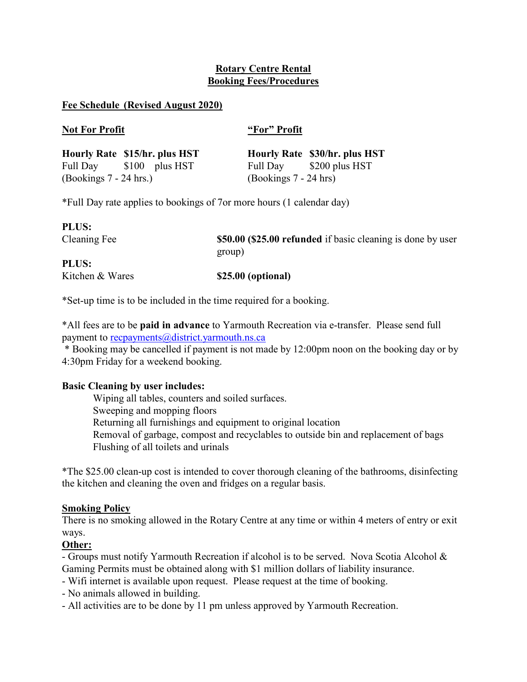# Rotary Centre Rental Booking Fees/Procedures

### Fee Schedule (Revised August 2020)

### Not For Profit "For" Profit

|                          | Hourly Rate \$15/hr. plus HST |                         | Hourly Rate \$30/hr. plus HST |
|--------------------------|-------------------------------|-------------------------|-------------------------------|
|                          | Full Day \$100 plus HST       |                         | Full Day \$200 plus HST       |
| $(Bookings 7 - 24 hrs.)$ |                               | $(Bookings 7 - 24 hrs)$ |                               |

\*Full Day rate applies to bookings of 7or more hours (1 calendar day)

| <b>PLUS:</b>    |                                                                       |
|-----------------|-----------------------------------------------------------------------|
| Cleaning Fee    | \$50.00 (\$25.00 refunded if basic cleaning is done by user<br>group) |
| <b>PLUS:</b>    |                                                                       |
| Kitchen & Wares | \$25.00 (optional)                                                    |

\*Set-up time is to be included in the time required for a booking.

\*All fees are to be paid in advance to Yarmouth Recreation via e-transfer. Please send full payment to recpayments@district.yarmouth.ns.ca

 \* Booking may be cancelled if payment is not made by 12:00pm noon on the booking day or by 4:30pm Friday for a weekend booking.

# Basic Cleaning by user includes:

Wiping all tables, counters and soiled surfaces. Sweeping and mopping floors Returning all furnishings and equipment to original location Removal of garbage, compost and recyclables to outside bin and replacement of bags Flushing of all toilets and urinals

\*The \$25.00 clean-up cost is intended to cover thorough cleaning of the bathrooms, disinfecting the kitchen and cleaning the oven and fridges on a regular basis.

# Smoking Policy

There is no smoking allowed in the Rotary Centre at any time or within 4 meters of entry or exit ways.

# Other:

- Groups must notify Yarmouth Recreation if alcohol is to be served. Nova Scotia Alcohol & Gaming Permits must be obtained along with \$1 million dollars of liability insurance.

- Wifi internet is available upon request. Please request at the time of booking.

- No animals allowed in building.
- All activities are to be done by 11 pm unless approved by Yarmouth Recreation.